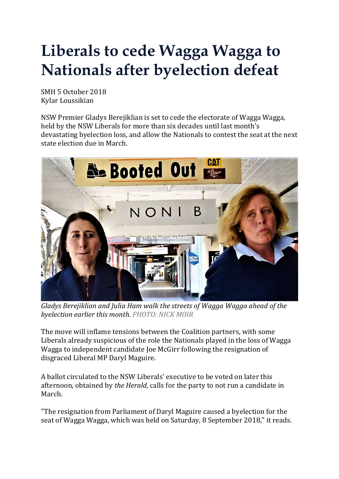## **Liberals to cede Wagga Wagga to Nationals after byelection defeat**

SMH 5 October 2018 Kylar Loussikian

NSW Premier Gladys Berejiklian is set to cede the electorate of Wagga Wagga, held by the NSW Liberals for more than six decades until last month's devastating byelection loss, and allow the Nationals to contest the seat at the next state election due in March.



*Gladys Berejiklian and Julia Ham walk the streets of Wagga Wagga ahead of the byelection earlier this month. PHOTO: NICK MOIR*

The move will inflame tensions between the Coalition partners, with some Liberals already suspicious of the role the Nationals played in the loss of Wagga Wagga to independent candidate Joe McGirr following the resignation of disgraced Liberal MP Daryl Maguire.

A ballot circulated to the NSW Liberals' executive to be voted on later this afternoon, obtained by *the Herald*, calls for the party to not run a candidate in March.

"The resignation from Parliament of Daryl Maguire caused a byelection for the seat of Wagga Wagga, which was held on Saturday, 8 September 2018," it reads.